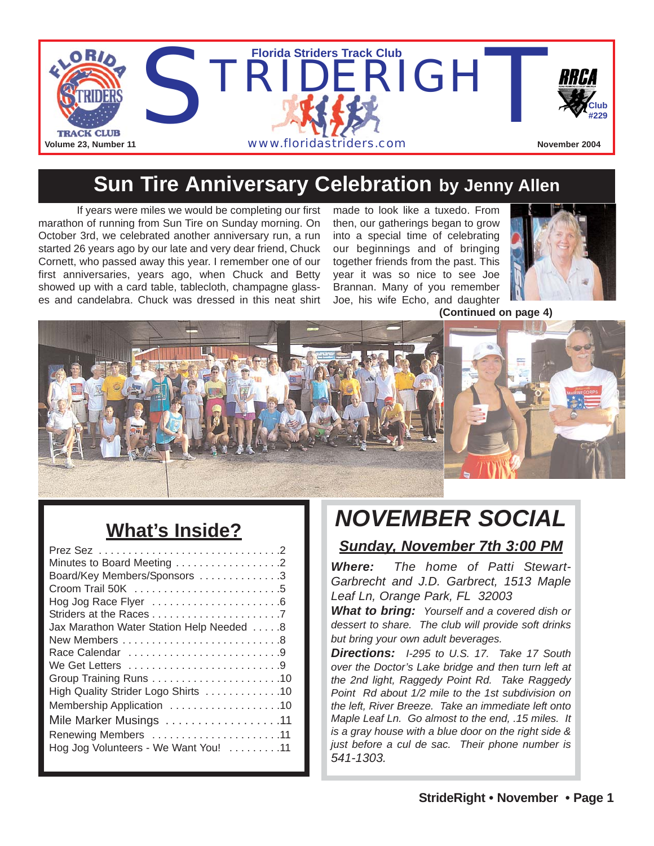

### **Sun Tire Anniversary Celebration by Jenny Allen**

If years were miles we would be completing our first marathon of running from Sun Tire on Sunday morning. On October 3rd, we celebrated another anniversary run, a run started 26 years ago by our late and very dear friend, Chuck Cornett, who passed away this year. I remember one of our first anniversaries, years ago, when Chuck and Betty showed up with a card table, tablecloth, champagne glasses and candelabra. Chuck was dressed in this neat shirt

made to look like a tuxedo. From then, our gatherings began to grow into a special time of celebrating our beginnings and of bringing together friends from the past. This year it was so nice to see Joe Brannan. Many of you remember Joe, his wife Echo, and daughter



**(Continued on page 4)**



# **What's Inside?**

| Minutes to Board Meeting 2               |
|------------------------------------------|
| Board/Key Members/Sponsors 3             |
|                                          |
|                                          |
|                                          |
| Jax Marathon Water Station Help Needed 8 |
|                                          |
| Race Calendar 9                          |
| We Get Letters 9                         |
|                                          |
| High Quality Strider Logo Shirts 10      |
| Membership Application 10                |
| Mile Marker Musings 11                   |
| Renewing Members 11                      |
| Hog Jog Volunteers - We Want You! 11     |
|                                          |

# *NOVEMBER SOCIAL*

#### *Sunday, November 7th 3:00 PM*

*Where: The home of Patti Stewart-Garbrecht and J.D. Garbrect, 1513 Maple Leaf Ln, Orange Park, FL 32003*

*What to bring: Yourself and a covered dish or dessert to share. The club will provide soft drinks but bring your own adult beverages.* 

*Directions: I-295 to U.S. 17. Take 17 South over the Doctor's Lake bridge and then turn left at the 2nd light, Raggedy Point Rd. Take Raggedy Point Rd about 1/2 mile to the 1st subdivision on the left, River Breeze. Take an immediate left onto Maple Leaf Ln. Go almost to the end, .15 miles. It is a gray house with a blue door on the right side & just before a cul de sac. Their phone number is 541-1303.*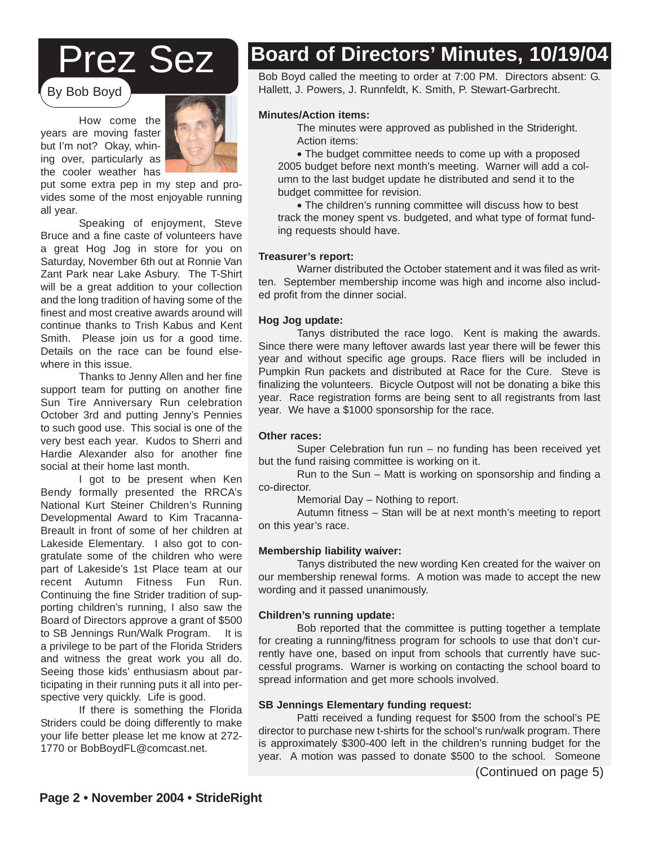# Prez Sez

By Bob Boyd

How come the years are moving faster but I'm not? Okay, whining over, particularly as the cooler weather has



put some extra pep in my step and provides some of the most enjoyable running all year.

Speaking of enjoyment, Steve Bruce and a fine caste of volunteers have a great Hog Jog in store for you on Saturday, November 6th out at Ronnie Van Zant Park near Lake Asbury. The T-Shirt will be a great addition to your collection and the long tradition of having some of the finest and most creative awards around will continue thanks to Trish Kabus and Kent Smith. Please join us for a good time. Details on the race can be found elsewhere in this issue.

Thanks to Jenny Allen and her fine support team for putting on another fine Sun Tire Anniversary Run celebration October 3rd and putting Jenny's Pennies to such good use. This social is one of the very best each year. Kudos to Sherri and Hardie Alexander also for another fine social at their home last month.

I got to be present when Ken Bendy formally presented the RRCA's National Kurt Steiner Children's Running Developmental Award to Kim Tracanna-Breault in front of some of her children at Lakeside Elementary. I also got to congratulate some of the children who were part of Lakeside's 1st Place team at our recent Autumn Fitness Fun Run. Continuing the fine Strider tradition of supporting children's running, I also saw the Board of Directors approve a grant of \$500 to SB Jennings Run/Walk Program. It is a privilege to be part of the Florida Striders and witness the great work you all do. Seeing those kids' enthusiasm about participating in their running puts it all into perspective very quickly. Life is good.

If there is something the Florida Striders could be doing differently to make your life better please let me know at 272- 1770 or BobBoydFL@comcast.net.

# **Board of Directors' Minutes, 10/19/04**

Bob Boyd called the meeting to order at 7:00 PM. Directors absent: G. Hallett, J. Powers, J. Runnfeldt, K. Smith, P. Stewart-Garbrecht.

#### **Minutes/Action items:**

The minutes were approved as published in the Strideright. Action items:

• The budget committee needs to come up with a proposed 2005 budget before next month's meeting. Warner will add a column to the last budget update he distributed and send it to the budget committee for revision.

• The children's running committee will discuss how to best track the money spent vs. budgeted, and what type of format funding requests should have.

#### **Treasurer's report:**

Warner distributed the October statement and it was filed as written. September membership income was high and income also included profit from the dinner social.

#### **Hog Jog update:**

Tanys distributed the race logo. Kent is making the awards. Since there were many leftover awards last year there will be fewer this year and without specific age groups. Race fliers will be included in Pumpkin Run packets and distributed at Race for the Cure. Steve is finalizing the volunteers. Bicycle Outpost will not be donating a bike this year. Race registration forms are being sent to all registrants from last year. We have a \$1000 sponsorship for the race.

#### **Other races:**

Super Celebration fun run – no funding has been received yet but the fund raising committee is working on it.

Run to the Sun – Matt is working on sponsorship and finding a co-director.

Memorial Day – Nothing to report.

Autumn fitness – Stan will be at next month's meeting to report on this year's race.

#### **Membership liability waiver:**

Tanys distributed the new wording Ken created for the waiver on<br>phership renewal forms. A metian was made to accept the new wording and it passed unanimously. The merchanour membership renewal forms. A motion was made to accept the new

#### **Children's running update:**

n **s running update:**<br>Bob reported that the committee is putting together a template For creating a running/fitness program for schools to use that don't cur-<br>for creating a running/fitness program for schools to use that don't currently have one, based on input from schools that currently have successful programs. Warner is working on contacting the school board to spread information and get more schools involved.

### **SB Jennings Elementary funding request:**<br> **SB Jennings Elementary funding request:**

nings Liementary funding request.<br>Patti received a funding request for \$500 from the school's PE director to purchase new t-shirts for the school's run/walk program. There is approximately \$300-400 left in the children's running budget for the year. A motion was passed to donate \$500 to the school. Someone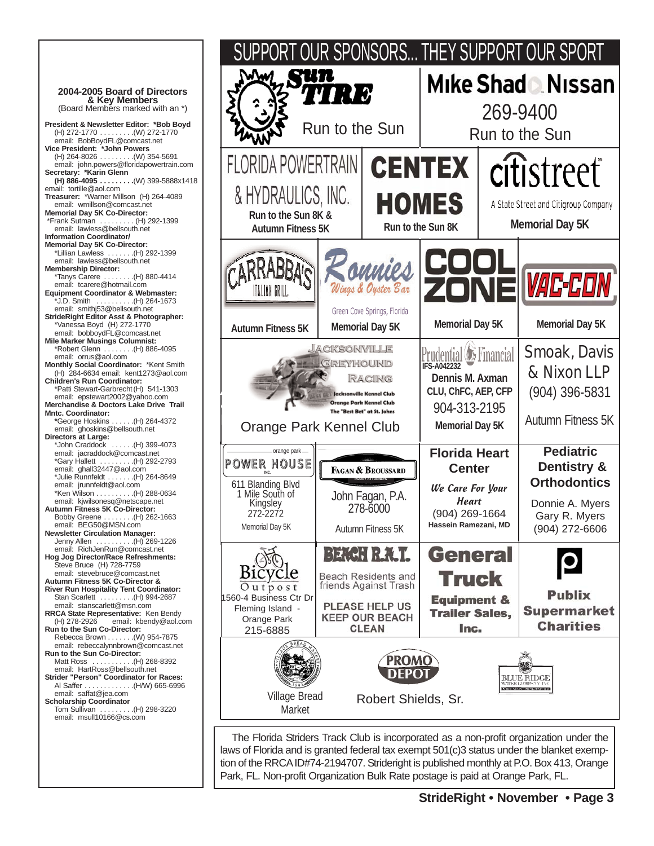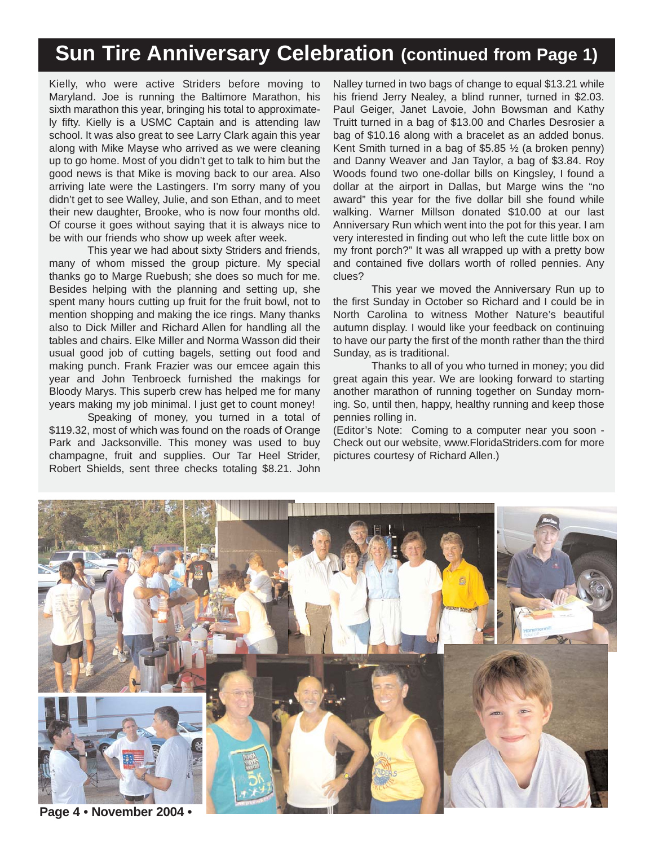# **Sun Tire Anniversary Celebration (continued from Page 1)**

Kielly, who were active Striders before moving to Maryland. Joe is running the Baltimore Marathon, his sixth marathon this year, bringing his total to approximately fifty. Kielly is a USMC Captain and is attending law school. It was also great to see Larry Clark again this year along with Mike Mayse who arrived as we were cleaning up to go home. Most of you didn't get to talk to him but the good news is that Mike is moving back to our area. Also arriving late were the Lastingers. I'm sorry many of you didn't get to see Walley, Julie, and son Ethan, and to meet their new daughter, Brooke, who is now four months old. Of course it goes without saying that it is always nice to be with our friends who show up week after week.

This year we had about sixty Striders and friends, many of whom missed the group picture. My special thanks go to Marge Ruebush; she does so much for me. Besides helping with the planning and setting up, she spent many hours cutting up fruit for the fruit bowl, not to mention shopping and making the ice rings. Many thanks also to Dick Miller and Richard Allen for handling all the tables and chairs. Elke Miller and Norma Wasson did their usual good job of cutting bagels, setting out food and making punch. Frank Frazier was our emcee again this year and John Tenbroeck furnished the makings for Bloody Marys. This superb crew has helped me for many years making my job minimal. I just get to count money!

Speaking of money, you turned in a total of \$119.32, most of which was found on the roads of Orange Park and Jacksonville. This money was used to buy champagne, fruit and supplies. Our Tar Heel Strider, Robert Shields, sent three checks totaling \$8.21. John

Nalley turned in two bags of change to equal \$13.21 while his friend Jerry Nealey, a blind runner, turned in \$2.03. Paul Geiger, Janet Lavoie, John Bowsman and Kathy Truitt turned in a bag of \$13.00 and Charles Desrosier a bag of \$10.16 along with a bracelet as an added bonus. Kent Smith turned in a bag of \$5.85 ½ (a broken penny) and Danny Weaver and Jan Taylor, a bag of \$3.84. Roy Woods found two one-dollar bills on Kingsley, I found a dollar at the airport in Dallas, but Marge wins the "no award" this year for the five dollar bill she found while walking. Warner Millson donated \$10.00 at our last Anniversary Run which went into the pot for this year. I am very interested in finding out who left the cute little box on my front porch?" It was all wrapped up with a pretty bow and contained five dollars worth of rolled pennies. Any clues?

This year we moved the Anniversary Run up to the first Sunday in October so Richard and I could be in North Carolina to witness Mother Nature's beautiful autumn display. I would like your feedback on continuing to have our party the first of the month rather than the third Sunday, as is traditional.

Thanks to all of you who turned in money; you did great again this year. We are looking forward to starting another marathon of running together on Sunday morning. So, until then, happy, healthy running and keep those pennies rolling in.

(Editor's Note: Coming to a computer near you soon - Check out our website, www.FloridaStriders.com for more pictures courtesy of Richard Allen.)



**Page 4 • November 2004 •**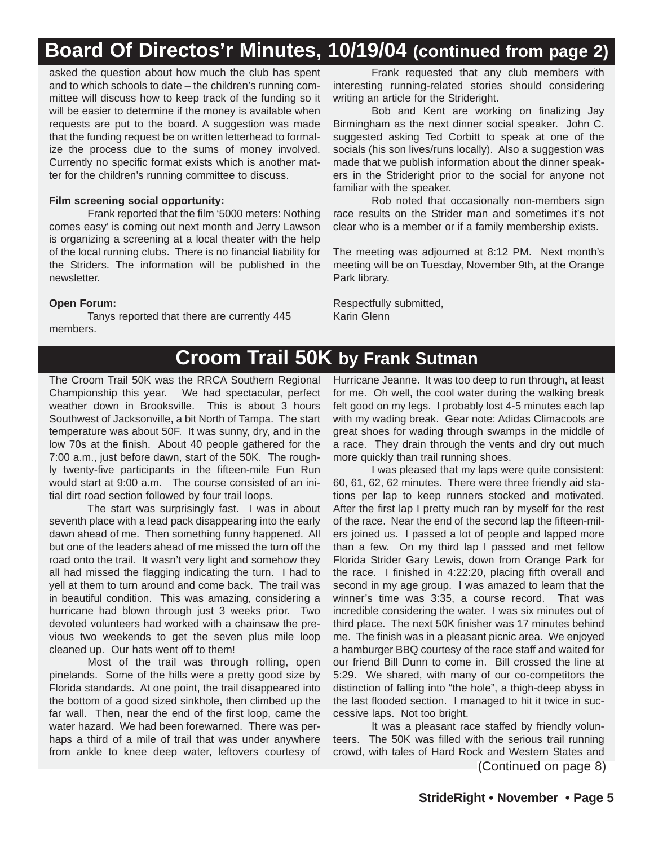# **Board Of Directos'r Minutes, 10/19/04 (continued from page 2)**

asked the question about how much the club has spent and to which schools to date – the children's running committee will discuss how to keep track of the funding so it will be easier to determine if the money is available when requests are put to the board. A suggestion was made that the funding request be on written letterhead to formalize the process due to the sums of money involved. Currently no specific format exists which is another matter for the children's running committee to discuss.

#### **Film screening social opportunity:**

Frank reported that the film '5000 meters: Nothing comes easy' is coming out next month and Jerry Lawson is organizing a screening at a local theater with the help of the local running clubs. There is no financial liability for the Striders. The information will be published in the newsletter.

#### **Open Forum:**

Tanys reported that there are currently 445 members.

Frank requested that any club members with interesting running-related stories should considering writing an article for the Strideright.

Bob and Kent are working on finalizing Jay Birmingham as the next dinner social speaker. John C. suggested asking Ted Corbitt to speak at one of the socials (his son lives/runs locally). Also a suggestion was made that we publish information about the dinner speakers in the Strideright prior to the social for anyone not familiar with the speaker.

Rob noted that occasionally non-members sign race results on the Strider man and sometimes it's not clear who is a member or if a family membership exists.

The meeting was adjourned at 8:12 PM. Next month's meeting will be on Tuesday, November 9th, at the Orange Park library.

Respectfully submitted, Karin Glenn

### **Croom Trail 50K by Frank Sutman**

The Croom Trail 50K was the RRCA Southern Regional Championship this year. We had spectacular, perfect weather down in Brooksville. This is about 3 hours Southwest of Jacksonville, a bit North of Tampa. The start temperature was about 50F. It was sunny, dry, and in the low 70s at the finish. About 40 people gathered for the 7:00 a.m., just before dawn, start of the 50K. The roughly twenty-five participants in the fifteen-mile Fun Run would start at 9:00 a.m. The course consisted of an initial dirt road section followed by four trail loops.

The start was surprisingly fast. I was in about seventh place with a lead pack disappearing into the early dawn ahead of me. Then something funny happened. All but one of the leaders ahead of me missed the turn off the road onto the trail. It wasn't very light and somehow they all had missed the flagging indicating the turn. I had to yell at them to turn around and come back. The trail was in beautiful condition. This was amazing, considering a hurricane had blown through just 3 weeks prior. Two devoted volunteers had worked with a chainsaw the previous two weekends to get the seven plus mile loop cleaned up. Our hats went off to them!

Most of the trail was through rolling, open pinelands. Some of the hills were a pretty good size by Florida standards. At one point, the trail disappeared into the bottom of a good sized sinkhole, then climbed up the far wall. Then, near the end of the first loop, came the water hazard. We had been forewarned. There was perhaps a third of a mile of trail that was under anywhere from ankle to knee deep water, leftovers courtesy of

Hurricane Jeanne. It was too deep to run through, at least for me. Oh well, the cool water during the walking break felt good on my legs. I probably lost 4-5 minutes each lap with my wading break. Gear note: Adidas Climacools are great shoes for wading through swamps in the middle of a race. They drain through the vents and dry out much more quickly than trail running shoes.

I was pleased that my laps were quite consistent: 60, 61, 62, 62 minutes. There were three friendly aid stations per lap to keep runners stocked and motivated. After the first lap I pretty much ran by myself for the rest of the race. Near the end of the second lap the fifteen-milers joined us. I passed a lot of people and lapped more than a few. On my third lap I passed and met fellow Florida Strider Gary Lewis, down from Orange Park for the race. I finished in 4:22:20, placing fifth overall and second in my age group. I was amazed to learn that the winner's time was 3:35, a course record. That was incredible considering the water. I was six minutes out of third place. The next 50K finisher was 17 minutes behind me. The finish was in a pleasant picnic area. We enjoyed a hamburger BBQ courtesy of the race staff and waited for our friend Bill Dunn to come in. Bill crossed the line at 5:29. We shared, with many of our co-competitors the distinction of falling into "the hole", a thigh-deep abyss in the last flooded section. I managed to hit it twice in successive laps. Not too bright.

It was a pleasant race staffed by friendly volunteers. The 50K was filled with the serious trail running crowd, with tales of Hard Rock and Western States and

(Continued on page 8)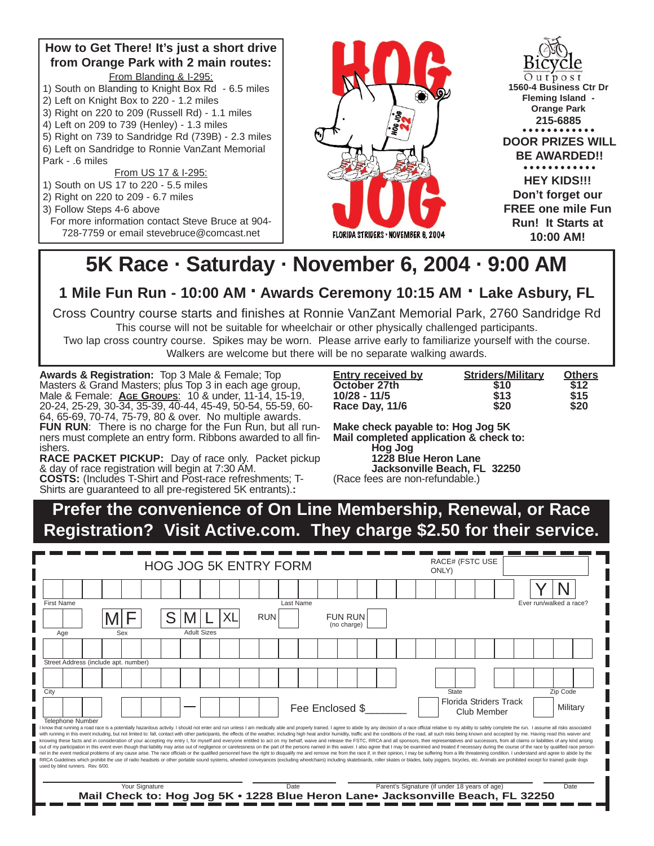#### **How to Get There! It's just a short drive from Orange Park with 2 main routes:** From Blanding & I-295:

- 1) South on Blanding to Knight Box Rd 6.5 miles
- 2) Left on Knight Box to 220 1.2 miles
- 3) Right on 220 to 209 (Russell Rd) 1.1 miles
- 4) Left on 209 to 739 (Henley) 1.3 miles
- 5) Right on 739 to Sandridge Rd (739B) 2.3 miles
- 6) Left on Sandridge to Ronnie VanZant Memorial Park - .6 miles

From US 17 & I-295:

- 1) South on US 17 to 220 5.5 miles
- 2) Right on 220 to 209 6.7 miles
- 3) Follow Steps 4-6 above
	- For more information contact Steve Bruce at 904- 728-7759 or email stevebruce@comcast.net



 $Outpos$ **1560-4 Business Ctr Dr Fleming Island - Orange Park 215-6885DOOR PRIZES WILL BE AWARDED!!** . . . . . . . . . . . . **HEY KIDS!!! Don't forget our FREE one mile Fun Run! It Starts at 10:00 AM!**

# **5K Race · Saturday · November 6, 2004 · 9:00 AM**

**1 Mile Fun Run - 10:00 AM · Awards Ceremony 10:15 AM · Lake Asbury, FL**

Cross Country course starts and finishes at Ronnie VanZant Memorial Park, 2760 Sandridge Rd

This course will not be suitable for wheelchair or other physically challenged participants.

Two lap cross country course. Spikes may be worn. Please arrive early to familiarize yourself with the course. Walkers are welcome but there will be no separate walking awards.

**Awards & Registration:** Top 3 Male & Female; Top Masters & Grand Masters; plus Top 3 in each age group, Male & Female: **AGE GROUPS**: 10 & under, 11-14, 15-19, 20-24, 25-29, 30-34, 35-39, 40-44, 45-49, 50-54, 55-59, 60- 64, 65-69, 70-74, 75-79, 80 & over. No multiple awards. FUN RUN: There is no charge for the Fun Run, but all runners must complete an entry form. Ribbons awarded to all finishers.

**RACE PACKET PICKUP:** Day of race only. Packet pickup & day of race registration will begin at 7:30 AM.

**COSTS:** (Includes T-Shirt and Post-race refreshments; T-Shirts are guaranteed to all pre-registered 5K entrants).**:** 

| <b>Entry received by</b> | <b>Striders/Military</b> | <b>Others</b> |
|--------------------------|--------------------------|---------------|
| October 27th             | \$10                     | \$12          |
| $10/28 - 11/5$           | \$13                     | \$15          |
| Race Day, 11/6           | \$20                     | \$20          |

**Make check payable to: Hog Jog 5K Mail completed application & check to: Hog Jog 1228 Blue Heron Lane Jacksonville Beach, FL 32250**

(Race fees are non-refundable.)

**Prefer the convenience of On Line Membership, Renewal, or Race Registration? Visit Active.com. They charge \$2.50 for their service.**

| <b>HOG JOG 5K ENTRY FORM</b> |                         |                                   |                                      |     |                |  |                    |  | ONLY) |            | <b>RACE# (FSTC USE</b>                                                                 |  |                               |  |  |  |       |                                               |                               |  |                                                                                                                                                                                                                                                                                                                                                                                                                                                                                                                                                                                                                                                                                                                                                                                                                                                                                                                                                                                                                                                                                                                                                                                                                                                                                                                                                                                                          |  |
|------------------------------|-------------------------|-----------------------------------|--------------------------------------|-----|----------------|--|--------------------|--|-------|------------|----------------------------------------------------------------------------------------|--|-------------------------------|--|--|--|-------|-----------------------------------------------|-------------------------------|--|----------------------------------------------------------------------------------------------------------------------------------------------------------------------------------------------------------------------------------------------------------------------------------------------------------------------------------------------------------------------------------------------------------------------------------------------------------------------------------------------------------------------------------------------------------------------------------------------------------------------------------------------------------------------------------------------------------------------------------------------------------------------------------------------------------------------------------------------------------------------------------------------------------------------------------------------------------------------------------------------------------------------------------------------------------------------------------------------------------------------------------------------------------------------------------------------------------------------------------------------------------------------------------------------------------------------------------------------------------------------------------------------------------|--|
|                              |                         |                                   |                                      |     |                |  |                    |  |       |            |                                                                                        |  |                               |  |  |  |       |                                               |                               |  |                                                                                                                                                                                                                                                                                                                                                                                                                                                                                                                                                                                                                                                                                                                                                                                                                                                                                                                                                                                                                                                                                                                                                                                                                                                                                                                                                                                                          |  |
| <b>First Name</b>            |                         |                                   |                                      |     |                |  |                    |  |       |            | Last Name                                                                              |  |                               |  |  |  |       |                                               |                               |  | Ever run/walked a race?                                                                                                                                                                                                                                                                                                                                                                                                                                                                                                                                                                                                                                                                                                                                                                                                                                                                                                                                                                                                                                                                                                                                                                                                                                                                                                                                                                                  |  |
|                              |                         |                                   |                                      |     |                |  |                    |  |       | <b>RUN</b> |                                                                                        |  | <b>FUN RUN</b><br>(no charge) |  |  |  |       |                                               |                               |  |                                                                                                                                                                                                                                                                                                                                                                                                                                                                                                                                                                                                                                                                                                                                                                                                                                                                                                                                                                                                                                                                                                                                                                                                                                                                                                                                                                                                          |  |
| Age                          |                         |                                   |                                      | Sex |                |  | <b>Adult Sizes</b> |  |       |            |                                                                                        |  |                               |  |  |  |       |                                               |                               |  |                                                                                                                                                                                                                                                                                                                                                                                                                                                                                                                                                                                                                                                                                                                                                                                                                                                                                                                                                                                                                                                                                                                                                                                                                                                                                                                                                                                                          |  |
|                              |                         |                                   |                                      |     |                |  |                    |  |       |            |                                                                                        |  |                               |  |  |  |       |                                               |                               |  |                                                                                                                                                                                                                                                                                                                                                                                                                                                                                                                                                                                                                                                                                                                                                                                                                                                                                                                                                                                                                                                                                                                                                                                                                                                                                                                                                                                                          |  |
|                              |                         |                                   | Street Address (include apt. number) |     |                |  |                    |  |       |            |                                                                                        |  |                               |  |  |  |       |                                               |                               |  |                                                                                                                                                                                                                                                                                                                                                                                                                                                                                                                                                                                                                                                                                                                                                                                                                                                                                                                                                                                                                                                                                                                                                                                                                                                                                                                                                                                                          |  |
|                              |                         |                                   |                                      |     |                |  |                    |  |       |            |                                                                                        |  |                               |  |  |  |       |                                               |                               |  |                                                                                                                                                                                                                                                                                                                                                                                                                                                                                                                                                                                                                                                                                                                                                                                                                                                                                                                                                                                                                                                                                                                                                                                                                                                                                                                                                                                                          |  |
| City                         |                         |                                   |                                      |     |                |  |                    |  |       |            |                                                                                        |  |                               |  |  |  | State |                                               |                               |  | Zip Code                                                                                                                                                                                                                                                                                                                                                                                                                                                                                                                                                                                                                                                                                                                                                                                                                                                                                                                                                                                                                                                                                                                                                                                                                                                                                                                                                                                                 |  |
|                              |                         |                                   |                                      |     |                |  |                    |  |       |            |                                                                                        |  | Fee Enclosed \$               |  |  |  |       | Club Member                                   | <b>Florida Striders Track</b> |  | Military                                                                                                                                                                                                                                                                                                                                                                                                                                                                                                                                                                                                                                                                                                                                                                                                                                                                                                                                                                                                                                                                                                                                                                                                                                                                                                                                                                                                 |  |
|                              | <b>Telephone Number</b> | used by blind runners. Rev. 6/00. |                                      |     |                |  |                    |  |       |            |                                                                                        |  |                               |  |  |  |       |                                               |                               |  | I know that running a road race is a potentially hazardous activity. I should not enter and run unless I am medically able and properly trained. I agree to abide by any decision of a race official relative to my ability to<br>with running in this event including, but not limited to: fall, contact with other participants, the effects of the weather, including high heat and/or humidity, traffic and the conditions of the road, all such risks being<br>knowing these facts and in consideration of your accepting my entry I, for myself and everyone entitled to act on my behalf, waive and release the FSTC, RRCA and all sponsors, their representatives and successors, from all<br>out of my participation in this event even though that liability may arise out of negligence or carelessness on the part of the persons named in this waiver. I also agree that I may be examined and treated if necessary dur<br>nel in the event medical problems of any cause arise. The race officials or the qualified personnel have the right to disqualify me and remove me from the race if, in their opinion, I may be suffering from a life threateni<br>RRCA Guidelines which prohibit the use of radio headsets or other portable sound systems, wheeled conveyances (excluding wheelchairs) including skateboards, roller skates or blades, baby joggers, bicycles, etc. Animals are |  |
|                              |                         |                                   |                                      |     | Your Signature |  |                    |  |       |            | Date<br>Mail Check to: Hog Jog 5K . 1228 Blue Heron Lane. Jacksonville Beach, FL 32250 |  |                               |  |  |  |       | Parent's Signature (if under 18 years of age) |                               |  | Date                                                                                                                                                                                                                                                                                                                                                                                                                                                                                                                                                                                                                                                                                                                                                                                                                                                                                                                                                                                                                                                                                                                                                                                                                                                                                                                                                                                                     |  |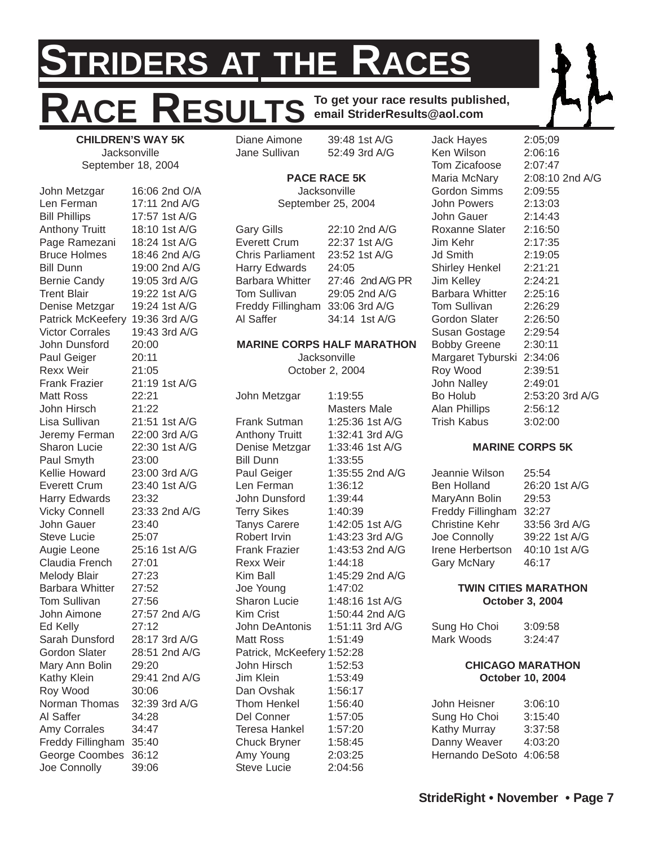# **STRIDERS AT THE RACES** RESULTS **To get your race results published, email StriderResults@aol.com**

**CHILDREN'S WAY 5K Jacksonville** September 18, 2004

John Metzgar 16:06 2nd O/A Len Ferman 17:11 2nd A/G Bill Phillips 17:57 1st A/G Anthony Truitt 18:10 1st A/G Page Ramezani 18:24 1st A/G Bruce Holmes 18:46 2nd A/G Bill Dunn 19:00 2nd A/G Bernie Candy 19:05 3rd A/G Trent Blair 19:22 1st A/G Denise Metzgar 19:24 1st A/G Patrick McKeefery 19:36 3rd A/G Victor Corrales 19:43 3rd A/G John Dunsford 20:00 Paul Geiger 20:11 Rexx Weir 21:05 Frank Frazier 21:19 1st A/G Matt Ross 22:21 John Hirsch 21:22 Lisa Sullivan 21:51 1st A/G Jeremy Ferman 22:00 3rd A/G Sharon Lucie 22:30 1st A/G Paul Smyth 23:00 Kellie Howard 23:00 3rd A/G Everett Crum 23:40 1st A/G Harry Edwards 23:32 Vicky Connell 23:33 2nd A/G John Gauer 23:40 Steve Lucie 25:07 Augie Leone 25:16 1st A/G Claudia French 27:01 Melody Blair 27:23 Barbara Whitter 27:52 Tom Sullivan 27:56 John Aimone 27:57 2nd A/G Ed Kelly 27:12 Sarah Dunsford 28:17 3rd A/G Gordon Slater 28:51 2nd A/G Mary Ann Bolin 29:20 Kathy Klein 29:41 2nd A/G Roy Wood 30:06 Norman Thomas 32:39 3rd A/G Al Saffer 34:28 Amy Corrales 34:47 Freddy Fillingham 35:40 George Coombes 36:12 Joe Connolly 39:06

Diane Aimone 39:48 1st A/G Jane Sullivan 52:49 3rd A/G

#### **PACE RACE 5K**

**Jacksonville** September 25, 2004

Gary Gills 22:10 2nd A/G Everett Crum 22:37 1st A/G Chris Parliament 23:52 1st A/G Harry Edwards 24:05 Barbara Whitter 27:46 2nd A/G PR Tom Sullivan 29:05 2nd A/G Freddy Fillingham 33:06 3rd A/G Al Saffer 34:14 1st A/G

#### **MARINE CORPS HALF MARATHON**

**Jacksonville** October 2, 2004

John Metzgar 1:19:55 Masters Male Frank Sutman 1:25:36 1st A/G Anthony Truitt 1:32:41 3rd A/G Denise Metzgar 1:33:46 1st A/G Bill Dunn 1:33:55 Paul Geiger 1:35:55 2nd A/G Len Ferman 1:36:12 John Dunsford 1:39:44 Terry Sikes 1:40:39 Tanys Carere 1:42:05 1st A/G Robert Irvin 1:43:23 3rd A/G Frank Frazier 1:43:53 2nd A/G Rexx Weir 1:44:18 Kim Ball 1:45:29 2nd A/G Joe Young 1:47:02 Sharon Lucie 1:48:16 1st A/G Kim Crist 1:50:44 2nd A/G John DeAntonis 1:51:11 3rd A/G Matt Ross 1:51:49 Patrick, McKeefery 1:52:28 John Hirsch 1:52:53 Jim Klein 1:53:49 Dan Ovshak 1:56:17 Thom Henkel 1:56:40 Del Conner 1:57:05 Teresa Hankel 1:57:20 Chuck Bryner 1:58:45 Amy Young 2:03:25 Steve Lucie 2:04:56

Jack Hayes 2:05;09 Ken Wilson 2:06:16 Tom Zicafoose 2:07:47 Maria McNary 2:08:10 2nd A/G Gordon Simms 2:09:55 John Powers 2:13:03 John Gauer 2:14:43 Roxanne Slater 2:16:50 Jim Kehr 2:17:35 Jd Smith 2:19:05 Shirley Henkel 2:21:21 Jim Kelley 2:24:21 Barbara Whitter 2:25:16 Tom Sullivan 2:26:29 Gordon Slater 2:26:50 Susan Gostage 2:29:54 Bobby Greene 2:30:11 Margaret Tyburski 2:34:06 Roy Wood 2:39:51 John Nalley 2:49:01 Bo Holub 2:53:20 3rd A/G Alan Phillips 2:56:12 Trish Kabus 3:02:00

#### **MARINE CORPS 5K**

Jeannie Wilson 25:54 Ben Holland 26:20 1st A/G MaryAnn Bolin 29:53 Freddy Fillingham 32:27 Christine Kehr 33:56 3rd A/G Joe Connolly 39:22 1st A/G Irene Herbertson 40:10 1st A/G Gary McNary 46:17

#### **TWIN CITIES MARATHON October 3, 2004**

Sung Ho Choi 3:09:58 Mark Woods 3:24:47

#### **CHICAGO MARATHON October 10, 2004**

John Heisner 3:06:10 Sung Ho Choi 3:15:40 Kathy Murray 3:37:58 Danny Weaver 4:03:20 Hernando DeSoto 4:06:58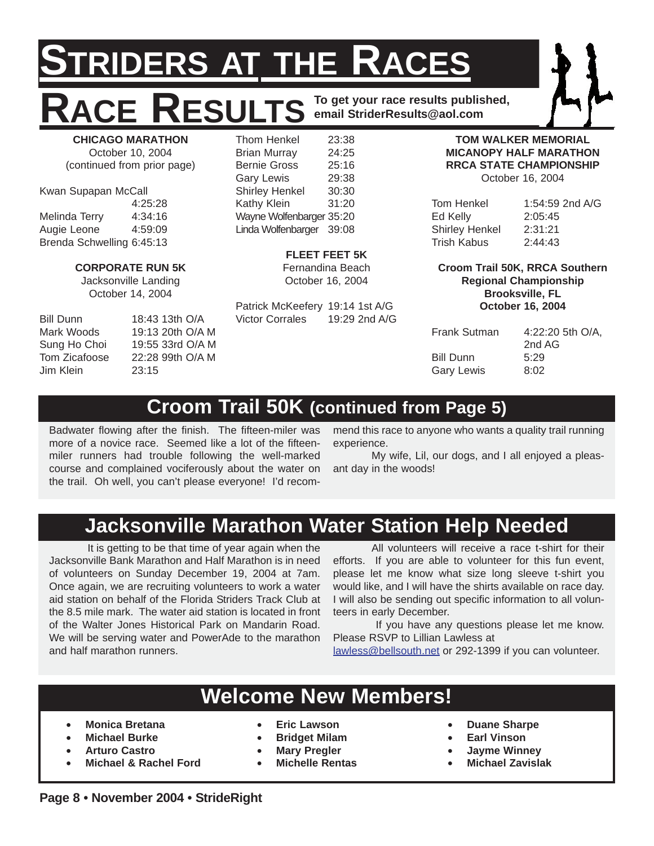# **STRIDERS AT THE RACES RACE RESULTS To get your race results published, email StriderResults@aol.com**

**CHICAGO MARATHON** October 10, 2004 (continued from prior page)

Kwan Supapan McCall 4:25:28 Melinda Terry 4:34:16 Augie Leone 4:59:09 Brenda Schwelling 6:45:13

#### **CORPORATE RUN 5K**

Jacksonville Landing October 14, 2004

Jim Klein 23:15

Bill Dunn 18:43 13th O/A Mark Woods 19:13 20th O/A M Sung Ho Choi 19:55 33rd O/A M Tom Zicafoose 22:28 99th O/A M

Thom Henkel 23:38 Brian Murray 24:25 Bernie Gross 25:16 Gary Lewis 29:38 Shirley Henkel 30:30 Kathy Klein 31:20 Wayne Wolfenbarger 35:20 Linda Wolfenbarger 39:08

**FLEET FEET 5K**

Fernandina Beach October 16, 2004

Patrick McKeefery 19:14 1st A/G Victor Corrales 19:29 2nd A/G

**TOM WALKER MEMORIAL MICANOPY HALF MARATHON RRCA STATE CHAMPIONSHIP** October 16, 2004

| Tom Henkel            | 1:54:59 2nd A/G |
|-----------------------|-----------------|
| Ed Kelly              | 2:05:45         |
| <b>Shirley Henkel</b> | 2:31:21         |
| Trish Kabus           | 2:44:43         |

**Croom Trail 50K, RRCA Southern Regional Championship Brooksville, FL October 16, 2004**

| <b>Frank Sutman</b> | 4:22:20 5th O/A, |
|---------------------|------------------|
|                     | 2nd AG           |
| Bill Dunn           | 5:29             |
| <b>Gary Lewis</b>   | 8:02             |

# **Croom Trail 50K (continued from Page 5)**

Badwater flowing after the finish. The fifteen-miler was more of a novice race. Seemed like a lot of the fifteenmiler runners had trouble following the well-marked course and complained vociferously about the water on the trail. Oh well, you can't please everyone! I'd recommend this race to anyone who wants a quality trail running experience.

My wife, Lil, our dogs, and I all enjoyed a pleasant day in the woods!

# **Jacksonville Marathon Water Station Help Needed**

It is getting to be that time of year again when the Jacksonville Bank Marathon and Half Marathon is in need of volunteers on Sunday December 19, 2004 at 7am. Once again, we are recruiting volunteers to work a water aid station on behalf of the Florida Striders Track Club at the 8.5 mile mark. The water aid station is located in front of the Walter Jones Historical Park on Mandarin Road. We will be serving water and PowerAde to the marathon and half marathon runners.

All volunteers will receive a race t-shirt for their efforts. If you are able to volunteer for this fun event, please let me know what size long sleeve t-shirt you would like, and I will have the shirts available on race day. I will also be sending out specific information to all volunteers in early December.

If you have any questions please let me know. Please RSVP to Lillian Lawless at

lawless@bellsouth.net or 292-1399 if you can volunteer.

### **Welcome New Members!**

- **Monica Bretana**
- **Michael Burke**
- **Arturo Castro**
- **Michael & Rachel Ford**
- **Eric Lawson**
- **Bridget Milam**
- **Mary Pregler**
- **Michelle Rentas**
- **Duane Sharpe**
- **Earl Vinson**
- **Jayme Winney**
- **Michael Zavislak**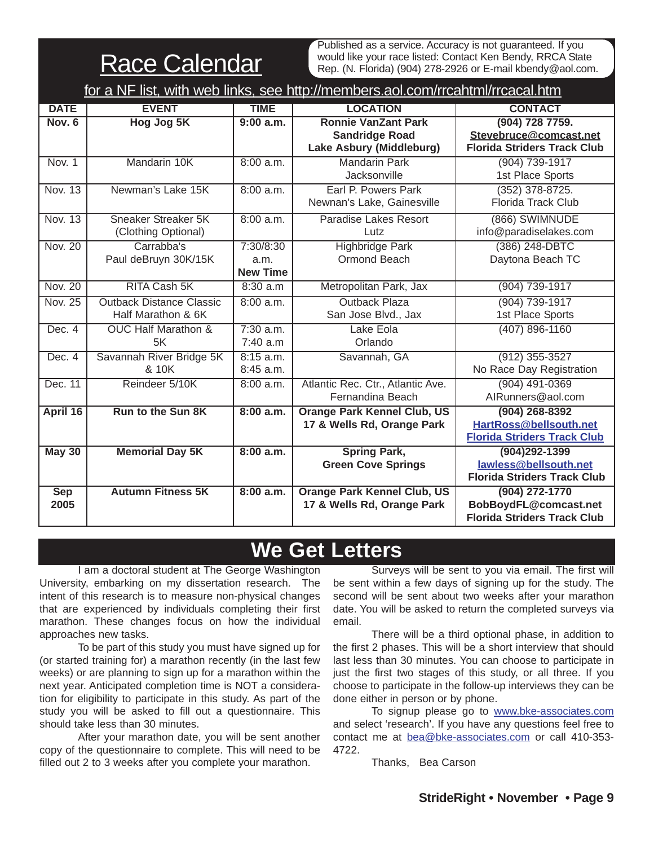Race Calendar

Published as a service. Accuracy is not guaranteed. If you would like your race listed: Contact Ken Bendy, RRCA State Rep. (N. Florida) (904) 278-2926 or E-mail kbendy@aol.com.

|                    | for a NF list, with web links, see http://members.aol.com/rrcahtml/rrcacal.htm |                                      |                                                                                 |                                                                                  |  |  |  |  |  |  |  |  |
|--------------------|--------------------------------------------------------------------------------|--------------------------------------|---------------------------------------------------------------------------------|----------------------------------------------------------------------------------|--|--|--|--|--|--|--|--|
| <b>DATE</b>        | <b>EVENT</b>                                                                   | <b>TIME</b>                          | <b>LOCATION</b>                                                                 | <b>CONTACT</b>                                                                   |  |  |  |  |  |  |  |  |
| Nov. 6             | Hog Jog 5K                                                                     | 9:00 a.m.                            | <b>Ronnie VanZant Park</b><br><b>Sandridge Road</b><br>Lake Asbury (Middleburg) | (904) 728 7759.<br>Stevebruce@comcast.net<br><b>Florida Striders Track Club</b>  |  |  |  |  |  |  |  |  |
| Nov. 1             | Mandarin 10K                                                                   | 8:00 a.m.                            | <b>Mandarin Park</b><br>Jacksonville                                            | (904) 739-1917<br>1st Place Sports                                               |  |  |  |  |  |  |  |  |
| Nov. 13            | Newman's Lake 15K                                                              | 8:00 a.m.                            | Earl P. Powers Park<br>Newnan's Lake, Gainesville                               | $(352)$ 378-8725.<br>Florida Track Club                                          |  |  |  |  |  |  |  |  |
| Nov. 13            | Sneaker Streaker 5K<br>(Clothing Optional)                                     | 8:00 a.m.                            | <b>Paradise Lakes Resort</b><br>Lutz                                            | (866) SWIMNUDE<br>info@paradiselakes.com                                         |  |  |  |  |  |  |  |  |
| <b>Nov. 20</b>     | Carrabba's<br>Paul deBruyn 30K/15K                                             | 7:30/8:30<br>a.m.<br><b>New Time</b> | <b>Highbridge Park</b><br>Ormond Beach                                          | (386) 248-DBTC<br>Daytona Beach TC                                               |  |  |  |  |  |  |  |  |
| <b>Nov. 20</b>     | <b>RITA Cash 5K</b>                                                            | 8:30 a.m                             | Metropolitan Park, Jax                                                          | (904) 739-1917                                                                   |  |  |  |  |  |  |  |  |
| <b>Nov. 25</b>     | <b>Outback Distance Classic</b><br>Half Marathon & 6K                          | 8:00 a.m.                            | <b>Outback Plaza</b><br>San Jose Blvd., Jax                                     | (904) 739-1917<br>1st Place Sports                                               |  |  |  |  |  |  |  |  |
| Dec. 4             | <b>OUC Half Marathon &amp;</b><br>5K                                           | $7:30$ a.m.<br>7:40 a.m              | Lake Eola<br>Orlando                                                            | $(407) 896 - 1160$                                                               |  |  |  |  |  |  |  |  |
| Dec. 4             | Savannah River Bridge 5K<br>& 10K                                              | $8:15$ a.m.<br>8:45 a.m.             | Savannah, GA                                                                    | $(912)$ 355-3527<br>No Race Day Registration                                     |  |  |  |  |  |  |  |  |
| Dec. 11            | Reindeer 5/10K                                                                 | 8:00 a.m.                            | Atlantic Rec. Ctr., Atlantic Ave.<br>Fernandina Beach                           | $(904)$ 491-0369<br>AIRunners@aol.com                                            |  |  |  |  |  |  |  |  |
| April 16           | <b>Run to the Sun 8K</b>                                                       | 8:00 a.m.                            | <b>Orange Park Kennel Club, US</b><br>17 & Wells Rd, Orange Park                | $(904)$ 268-8392<br>HartRoss@bellsouth.net<br><b>Florida Striders Track Club</b> |  |  |  |  |  |  |  |  |
| <b>May 30</b>      | <b>Memorial Day 5K</b>                                                         | 8:00 a.m.                            | <b>Spring Park,</b><br><b>Green Cove Springs</b>                                | (904)292-1399<br>lawless@bellsouth.net<br><b>Florida Striders Track Club</b>     |  |  |  |  |  |  |  |  |
| <b>Sep</b><br>2005 | <b>Autumn Fitness 5K</b>                                                       | 8:00 a.m.                            | <b>Orange Park Kennel Club, US</b><br>17 & Wells Rd, Orange Park                | (904) 272-1770<br>BobBoydFL@comcast.net<br><b>Florida Striders Track Club</b>    |  |  |  |  |  |  |  |  |

# **We Get Letters**

I am a doctoral student at The George Washington University, embarking on my dissertation research. The intent of this research is to measure non-physical changes that are experienced by individuals completing their first marathon. These changes focus on how the individual approaches new tasks.

To be part of this study you must have signed up for (or started training for) a marathon recently (in the last few weeks) or are planning to sign up for a marathon within the next year. Anticipated completion time is NOT a consideration for eligibility to participate in this study. As part of the study you will be asked to fill out a questionnaire. This should take less than 30 minutes.

After your marathon date, you will be sent another copy of the questionnaire to complete. This will need to be filled out 2 to 3 weeks after you complete your marathon.

Surveys will be sent to you via email. The first will be sent within a few days of signing up for the study. The second will be sent about two weeks after your marathon date. You will be asked to return the completed surveys via email.

There will be a third optional phase, in addition to the first 2 phases. This will be a short interview that should last less than 30 minutes. You can choose to participate in just the first two stages of this study, or all three. If you choose to participate in the follow-up interviews they can be done either in person or by phone.

To signup please go to www.bke-associates.com and select 'research'. If you have any questions feel free to contact me at bea@bke-associates.com or call 410-353- 4722.

Thanks, Bea Carson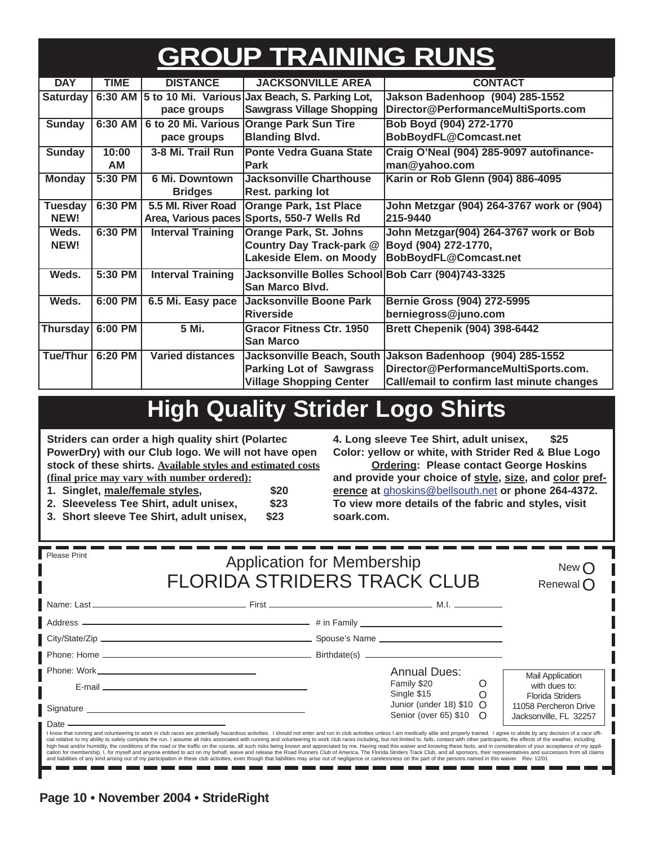# **GROUP TRAINING RUNS**

| <b>DAY</b>      | <b>TIME</b> | <b>DISTANCE</b>          | <b>JACKSONVILLE AREA</b>                               | <b>CONTACT</b>                                            |
|-----------------|-------------|--------------------------|--------------------------------------------------------|-----------------------------------------------------------|
| Saturday        |             |                          | 6:30 AM 5 to 10 Mi. Various Jax Beach, S. Parking Lot, | Jakson Badenhoop (904) 285-1552                           |
|                 |             | pace groups              | <b>Sawgrass Village Shopping</b>                       | Director@PerformanceMultiSports.com                       |
| <b>Sunday</b>   | 6:30 AM     | 6 to 20 Mi. Various      | <b>Orange Park Sun Tire</b>                            | Bob Boyd (904) 272-1770                                   |
|                 |             | pace groups              | <b>Blanding Blvd.</b>                                  | BobBoydFL@Comcast.net                                     |
| <b>Sunday</b>   | 10:00       | 3-8 Mi. Trail Run        | <b>Ponte Vedra Guana State</b>                         | Craig O'Neal (904) 285-9097 autofinance-                  |
|                 | <b>AM</b>   |                          | <b>Park</b>                                            | man@yahoo.com                                             |
| <b>Monday</b>   | 5:30 PM     | 6 Mi. Downtown           | <b>Jacksonville Charthouse</b>                         | Karin or Rob Glenn (904) 886-4095                         |
|                 |             | <b>Bridges</b>           | Rest. parking lot                                      |                                                           |
| <b>Tuesday</b>  | 6:30 PM     | 5.5 MI. River Road       | <b>Orange Park, 1st Place</b>                          | John Metzgar (904) 264-3767 work or (904)                 |
| NEW!            |             | Area, Various paces      | Sports, 550-7 Wells Rd                                 | 215-9440                                                  |
| Weds.           | 6:30 PM     | <b>Interval Training</b> | <b>Orange Park, St. Johns</b>                          | John Metzgar(904) 264-3767 work or Bob                    |
| NEW!            |             |                          | Country Day Track-park @                               | Boyd (904) 272-1770,                                      |
|                 |             |                          | Lakeside Elem. on Moody                                | BobBoydFL@Comcast.net                                     |
| Weds.           | 5:30 PM     | <b>Interval Training</b> | Jacksonville Bolles School Bob Carr (904)743-3325      |                                                           |
|                 |             |                          | San Marco Blvd.                                        |                                                           |
| Weds.           | 6:00 PM     | 6.5 Mi. Easy pace        | Jacksonville Boone Park                                | Bernie Gross (904) 272-5995                               |
|                 |             |                          | <b>Riverside</b>                                       | berniegross@juno.com                                      |
| <b>Thursday</b> | 6:00 PM     | 5 Mi.                    | <b>Gracor Fitness Ctr. 1950</b>                        | <b>Brett Chepenik (904) 398-6442</b>                      |
|                 |             |                          | <b>San Marco</b>                                       |                                                           |
| Tue/Thur        | 6:20 PM     | <b>Varied distances</b>  |                                                        | Jacksonville Beach, South Jakson Badenhoop (904) 285-1552 |
|                 |             |                          | <b>Parking Lot of Sawgrass</b>                         | Director@PerformanceMultiSports.com.                      |
|                 |             |                          | <b>Village Shopping Center</b>                         | Call/email to confirm last minute changes                 |

# **High Quality Strider Logo Shirts**

**Striders can order a high quality shirt (Polartec PowerDry) with our Club logo. We will not have open stock of these shirts. Available styles and estimated costs (final price may vary with number ordered):**

**1. Singlet, male/female styles, \$20**

**2. Sleeveless Tee Shirt, adult unisex, \$23**

**3. Short sleeve Tee Shirt, adult unisex, \$23**

**4. Long sleeve Tee Shirt, adult unisex, \$25 Color: yellow or white, with Strider Red & Blue Logo**

**Ordering: Please contact George Hoskins and provide your choice of style, size, and color preference at** ghoskins@bellsouth.net **or phone 264-4372. To view more details of the fabric and styles, visit soark.com.**

| <b>Please Print</b> | <b>Application for Membership</b><br><b>FLORIDA STRIDERS TRACK CLUB</b>                                                                                                                                                                                                                                                                                                                                                                                          | New (<br>Renewal $\bigcap$                                         |  |                                                                            |
|---------------------|------------------------------------------------------------------------------------------------------------------------------------------------------------------------------------------------------------------------------------------------------------------------------------------------------------------------------------------------------------------------------------------------------------------------------------------------------------------|--------------------------------------------------------------------|--|----------------------------------------------------------------------------|
|                     |                                                                                                                                                                                                                                                                                                                                                                                                                                                                  |                                                                    |  |                                                                            |
|                     |                                                                                                                                                                                                                                                                                                                                                                                                                                                                  |                                                                    |  |                                                                            |
|                     |                                                                                                                                                                                                                                                                                                                                                                                                                                                                  |                                                                    |  |                                                                            |
|                     |                                                                                                                                                                                                                                                                                                                                                                                                                                                                  |                                                                    |  |                                                                            |
|                     |                                                                                                                                                                                                                                                                                                                                                                                                                                                                  | <b>Annual Dues:</b>                                                |  | <b>Mail Application</b>                                                    |
|                     | E-mail entertainment and the contract of the contract of the contract of the contract of the contract of the contract of the contract of the contract of the contract of the contract of the contract of the contract of the c                                                                                                                                                                                                                                   | Family \$20                                                        |  | with dues to:                                                              |
|                     |                                                                                                                                                                                                                                                                                                                                                                                                                                                                  | Single \$15<br>Junior (under 18) \$10 O<br>Senior (over 65) \$10 O |  | <b>Florida Striders</b><br>11058 Percheron Drive<br>Jacksonville, FL 32257 |
|                     | I know that running and volunteering to work in club races are potentially hazardous activities. I should not enter and run in club activities unless I am medically able and properly trained. I agree to abide by any decisi<br>cial relative to my ability to safely complete the run. I assume all risks associated with running and volunteering to work club races including, but not limited to, falls, contact with other participants, the effects of t |                                                                    |  |                                                                            |

cial relative to my ability to safely complete the run. I assume all risks associated with running and volunteering to work club races including, but not limited to, falls, contact with other participants, the effects of t n e n en - - - - - m. m m m. n e m m n er n e m e a s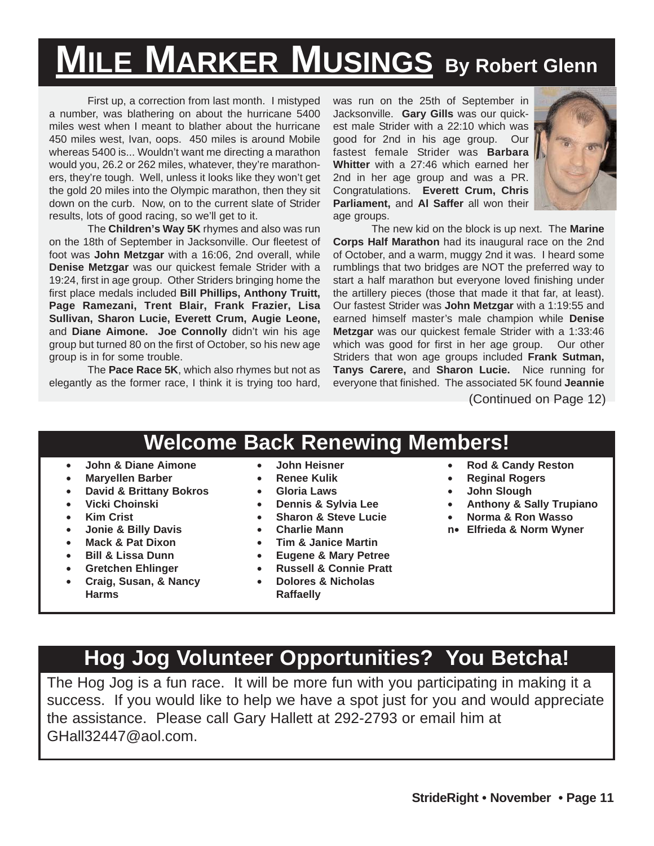# **MILE MARKER MUSINGS By Robert Glenn**

First up, a correction from last month. I mistyped a number, was blathering on about the hurricane 5400 miles west when I meant to blather about the hurricane 450 miles west, Ivan, oops. 450 miles is around Mobile whereas 5400 is... Wouldn't want me directing a marathon would you, 26.2 or 262 miles, whatever, they're marathoners, they're tough. Well, unless it looks like they won't get the gold 20 miles into the Olympic marathon, then they sit down on the curb. Now, on to the current slate of Strider results, lots of good racing, so we'll get to it.

The **Children's Way 5K** rhymes and also was run on the 18th of September in Jacksonville. Our fleetest of foot was **John Metzgar** with a 16:06, 2nd overall, while **Denise Metzgar** was our quickest female Strider with a 19:24, first in age group. Other Striders bringing home the first place medals included **Bill Phillips, Anthony Truitt, Page Ramezani, Trent Blair, Frank Frazier, Lisa Sullivan, Sharon Lucie, Everett Crum, Augie Leone,** and **Diane Aimone. Joe Connolly** didn't win his age group but turned 80 on the first of October, so his new age group is in for some trouble.

The **Pace Race 5K**, which also rhymes but not as elegantly as the former race, I think it is trying too hard, was run on the 25th of September in Jacksonville. **Gary Gills** was our quickest male Strider with a 22:10 which was good for 2nd in his age group. Our fastest female Strider was **Barbara Whitter** with a 27:46 which earned her 2nd in her age group and was a PR. Congratulations. **Everett Crum, Chris Parliament,** and **Al Saffer** all won their age groups.



The new kid on the block is up next. The **Marine Corps Half Marathon** had its inaugural race on the 2nd of October, and a warm, muggy 2nd it was. I heard some rumblings that two bridges are NOT the preferred way to start a half marathon but everyone loved finishing under the artillery pieces (those that made it that far, at least). Our fastest Strider was **John Metzgar** with a 1:19:55 and earned himself master's male champion while **Denise Metzgar** was our quickest female Strider with a 1:33:46 which was good for first in her age group. Our other Striders that won age groups included **Frank Sutman, Tanys Carere,** and **Sharon Lucie.** Nice running for everyone that finished. The associated 5K found **Jeannie**

(Continued on Page 12)

# **Welcome Back Renewing Members!**

- **John & Diane Aimone**
- **Maryellen Barber**
- **David & Brittany Bokros**
- **Vicki Choinski**
- **Kim Crist**
- **Jonie & Billy Davis**
- **Mack & Pat Dixon**
- **Bill & Lissa Dunn**
- **Gretchen Ehlinger**
- **Craig, Susan, & Nancy Harms**
- **John Heisner**
- **Renee Kulik**
- **Gloria Laws**
- **Dennis & Sylvia Lee**
- **Sharon & Steve Lucie**
- **Charlie Mann**
- **Tim & Janice Martin**
- 
- **Eugene & Mary Petree** • **Russell & Connie Pratt**
- **Dolores & Nicholas**
- **Raffaelly**
- **Rod & Candy Reston**
- **Reginal Rogers**
- 
- **John Slough** • **Anthony & Sally Trupiano**
- **Norma & Ron Wasso**
- **n Elfrieda & Norm Wyner**

### **Hog Jog Volunteer Opportunities? You Betcha!**

The Hog Jog is a fun race. It will be more fun with you participating in making it a success. If you would like to help we have a spot just for you and would appreciate the assistance. Please call Gary Hallett at 292-2793 or email him at GHall32447@aol.com.